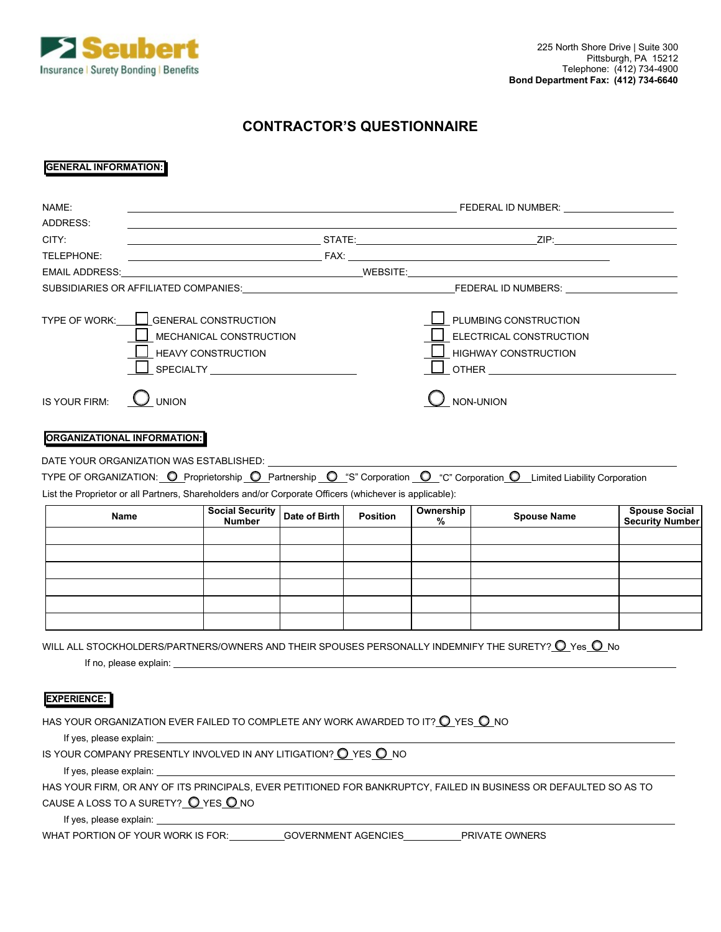

## **CONTRACTOR'S QUESTIONNAIRE**

## **GENERAL INFORMATION:**

| NAME:                                                                                                  |                             |                                                                                                                                                                                                                                |               |                 |                             |                                                                                                                          |                        |  |
|--------------------------------------------------------------------------------------------------------|-----------------------------|--------------------------------------------------------------------------------------------------------------------------------------------------------------------------------------------------------------------------------|---------------|-----------------|-----------------------------|--------------------------------------------------------------------------------------------------------------------------|------------------------|--|
| ADDRESS:                                                                                               |                             |                                                                                                                                                                                                                                |               |                 |                             |                                                                                                                          |                        |  |
| CITY:                                                                                                  |                             |                                                                                                                                                                                                                                |               |                 |                             |                                                                                                                          |                        |  |
| TELEPHONE:                                                                                             |                             |                                                                                                                                                                                                                                |               |                 |                             |                                                                                                                          |                        |  |
|                                                                                                        |                             |                                                                                                                                                                                                                                |               |                 |                             |                                                                                                                          |                        |  |
|                                                                                                        |                             |                                                                                                                                                                                                                                |               |                 |                             |                                                                                                                          |                        |  |
| TYPE OF WORK:                                                                                          | <b>GENERAL CONSTRUCTION</b> |                                                                                                                                                                                                                                |               |                 | PLUMBING CONSTRUCTION       |                                                                                                                          |                        |  |
|                                                                                                        | MECHANICAL CONSTRUCTION     |                                                                                                                                                                                                                                |               |                 | ELECTRICAL CONSTRUCTION     |                                                                                                                          |                        |  |
|                                                                                                        |                             | <b>HEAVY CONSTRUCTION</b>                                                                                                                                                                                                      |               |                 | <b>HIGHWAY CONSTRUCTION</b> |                                                                                                                          |                        |  |
|                                                                                                        |                             | SPECIALTY <b>Andrew SPECIALTY</b>                                                                                                                                                                                              |               |                 |                             |                                                                                                                          |                        |  |
| IS YOUR FIRM:                                                                                          | <b>UNION</b>                |                                                                                                                                                                                                                                |               |                 |                             | NON-UNION                                                                                                                |                        |  |
| <b>ORGANIZATIONAL INFORMATION:</b>                                                                     |                             |                                                                                                                                                                                                                                |               |                 |                             |                                                                                                                          |                        |  |
| DATE YOUR ORGANIZATION WAS ESTABLISHED:                                                                |                             |                                                                                                                                                                                                                                |               |                 |                             |                                                                                                                          |                        |  |
|                                                                                                        |                             |                                                                                                                                                                                                                                |               |                 |                             | TYPE OF ORGANIZATION: O Proprietorship O Partnership O "S" Corporation O "C" Corporation O Limited Liability Corporation |                        |  |
| List the Proprietor or all Partners, Shareholders and/or Corporate Officers (whichever is applicable): |                             |                                                                                                                                                                                                                                |               |                 |                             |                                                                                                                          |                        |  |
| Name                                                                                                   |                             | <b>Social Security</b>                                                                                                                                                                                                         | Date of Birth | <b>Position</b> | Ownership                   | <b>Spouse Name</b>                                                                                                       | <b>Spouse Social</b>   |  |
|                                                                                                        |                             | <b>Number</b>                                                                                                                                                                                                                  |               |                 | %                           |                                                                                                                          | <b>Security Number</b> |  |
|                                                                                                        |                             |                                                                                                                                                                                                                                |               |                 |                             |                                                                                                                          |                        |  |
|                                                                                                        |                             |                                                                                                                                                                                                                                |               |                 |                             |                                                                                                                          |                        |  |
|                                                                                                        |                             |                                                                                                                                                                                                                                |               |                 |                             |                                                                                                                          |                        |  |
|                                                                                                        |                             |                                                                                                                                                                                                                                |               |                 |                             |                                                                                                                          |                        |  |
|                                                                                                        |                             |                                                                                                                                                                                                                                |               |                 |                             |                                                                                                                          |                        |  |
|                                                                                                        |                             |                                                                                                                                                                                                                                |               |                 |                             | WILL ALL STOCKHOLDERS/PARTNERS/OWNERS AND THEIR SPOUSES PERSONALLY INDEMNIFY THE SURETY? $\mathsf O$ Yes $\mathsf O$ No  |                        |  |
|                                                                                                        |                             |                                                                                                                                                                                                                                |               |                 |                             |                                                                                                                          |                        |  |
| <b>EXPERIENCE:</b>                                                                                     |                             |                                                                                                                                                                                                                                |               |                 |                             |                                                                                                                          |                        |  |
| HAS YOUR ORGANIZATION EVER FAILED TO COMPLETE ANY WORK AWARDED TO IT? $O$ YES $O$ NO                   |                             |                                                                                                                                                                                                                                |               |                 |                             |                                                                                                                          |                        |  |
|                                                                                                        |                             | If yes, please explain:                                                                                                                                                                                                        |               |                 |                             |                                                                                                                          |                        |  |
| IS YOUR COMPANY PRESENTLY INVOLVED IN ANY LITIGATION? O YES O NO                                       |                             |                                                                                                                                                                                                                                |               |                 |                             |                                                                                                                          |                        |  |
|                                                                                                        |                             | If yes, please explain: Note that the state of the state of the state of the state of the state of the state of the state of the state of the state of the state of the state of the state of the state of the state of the st |               |                 |                             |                                                                                                                          |                        |  |
|                                                                                                        |                             |                                                                                                                                                                                                                                |               |                 |                             | HAS YOUR FIRM, OR ANY OF ITS PRINCIPALS, EVER PETITIONED FOR BANKRUPTCY, FAILED IN BUSINESS OR DEFAULTED SO AS TO        |                        |  |
| CAUSE A LOSS TO A SURETY? O YES ONO                                                                    |                             |                                                                                                                                                                                                                                |               |                 |                             |                                                                                                                          |                        |  |
|                                                                                                        |                             |                                                                                                                                                                                                                                |               |                 |                             |                                                                                                                          |                        |  |

WHAT PORTION OF YOUR WORK IS FOR: GOVERNMENT AGENCIES PRIVATE OWNERS